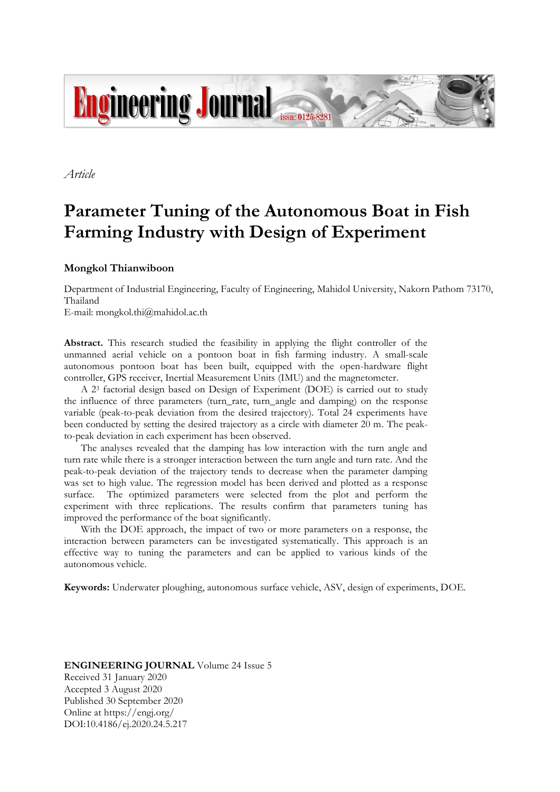

*Article*

# **Parameter Tuning of the Autonomous Boat in Fish Farming Industry with Design of Experiment**

## **Mongkol Thianwiboon**

Department of Industrial Engineering, Faculty of Engineering, Mahidol University, Nakorn Pathom 73170, Thailand

E-mail: mongkol.thi@mahidol.ac.th

**Abstract.** This research studied the feasibility in applying the flight controller of the unmanned aerial vehicle on a pontoon boat in fish farming industry. A small-scale autonomous pontoon boat has been built, equipped with the open-hardware flight controller, GPS receiver, Inertial Measurement Units (IMU) and the magnetometer.

A 2<sup>3</sup> factorial design based on Design of Experiment (DOE) is carried out to study the influence of three parameters (turn\_rate, turn\_angle and damping) on the response variable (peak-to-peak deviation from the desired trajectory). Total 24 experiments have been conducted by setting the desired trajectory as a circle with diameter 20 m. The peakto-peak deviation in each experiment has been observed.

The analyses revealed that the damping has low interaction with the turn angle and turn rate while there is a stronger interaction between the turn angle and turn rate. And the peak-to-peak deviation of the trajectory tends to decrease when the parameter damping was set to high value. The regression model has been derived and plotted as a response surface. The optimized parameters were selected from the plot and perform the experiment with three replications. The results confirm that parameters tuning has improved the performance of the boat significantly.

With the DOE approach, the impact of two or more parameters on a response, the interaction between parameters can be investigated systematically. This approach is an effective way to tuning the parameters and can be applied to various kinds of the autonomous vehicle.

**Keywords:** Underwater ploughing, autonomous surface vehicle, ASV, design of experiments, DOE.

## **ENGINEERING JOURNAL** Volume 24 Issue 5 Received 31 January 2020 Accepted 3 August 2020 Published 30 September 2020 Online at https://engj.org/ DOI:10.4186/ej.2020.24.5.217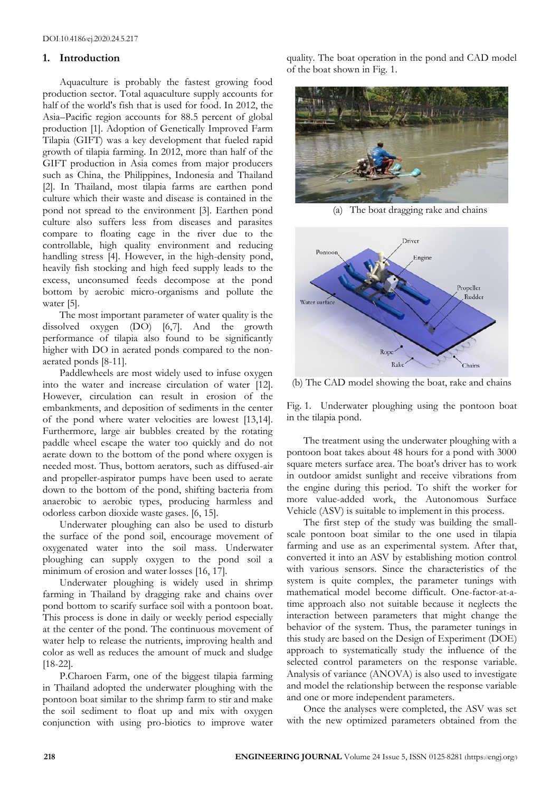## **1. Introduction**

Aquaculture is probably the fastest growing food production sector. Total aquaculture supply accounts for half of the world's fish that is used for food. In 2012, the Asia–Pacific region accounts for 88.5 percent of global production [1]. Adoption of Genetically Improved Farm Tilapia (GIFT) was a key development that fueled rapid growth of tilapia farming. In 2012, more than half of the GIFT production in Asia comes from major producers such as China, the Philippines, Indonesia and Thailand [2]. In Thailand, most tilapia farms are earthen pond culture which their waste and disease is contained in the pond not spread to the environment [3]. Earthen pond culture also suffers less from diseases and parasites compare to floating cage in the river due to the controllable, high quality environment and reducing handling stress [4]. However, in the high-density pond, heavily fish stocking and high feed supply leads to the excess, unconsumed feeds decompose at the pond bottom by aerobic micro-organisms and pollute the water [5].

The most important parameter of water quality is the dissolved oxygen (DO) [6,7]. And the growth performance of tilapia also found to be significantly higher with DO in aerated ponds compared to the nonaerated ponds [8-11].

Paddlewheels are most widely used to infuse oxygen into the water and increase circulation of water [12]. However, circulation can result in erosion of the embankments, and deposition of sediments in the center of the pond where water velocities are lowest [13,14]. Furthermore, large air bubbles created by the rotating paddle wheel escape the water too quickly and do not aerate down to the bottom of the pond where oxygen is needed most. Thus, bottom aerators, such as diffused-air and propeller-aspirator pumps have been used to aerate down to the bottom of the pond, shifting bacteria from anaerobic to aerobic types, producing harmless and odorless carbon dioxide waste gases. [6, 15].

Underwater ploughing can also be used to disturb the surface of the pond soil, encourage movement of oxygenated water into the soil mass. Underwater ploughing can supply oxygen to the pond soil a minimum of erosion and water losses [16, 17].

Underwater ploughing is widely used in shrimp farming in Thailand by dragging rake and chains over pond bottom to scarify surface soil with a pontoon boat. This process is done in daily or weekly period especially at the center of the pond. The continuous movement of water help to release the nutrients, improving health and color as well as reduces the amount of muck and sludge [18-22].

P.Charoen Farm, one of the biggest tilapia farming in Thailand adopted the underwater ploughing with the pontoon boat similar to the shrimp farm to stir and make the soil sediment to float up and mix with oxygen conjunction with using pro-biotics to improve water quality. The boat operation in the pond and CAD model of the boat shown in Fig. 1.



(a) The boat dragging rake and chains



(b) The CAD model showing the boat, rake and chains

Fig. 1. Underwater ploughing using the pontoon boat in the tilapia pond.

The treatment using the underwater ploughing with a pontoon boat takes about 48 hours for a pond with 3000 square meters surface area. The boat's driver has to work in outdoor amidst sunlight and receive vibrations from the engine during this period. To shift the worker for more value-added work, the Autonomous Surface Vehicle (ASV) is suitable to implement in this process.

The first step of the study was building the smallscale pontoon boat similar to the one used in tilapia farming and use as an experimental system. After that, converted it into an ASV by establishing motion control with various sensors. Since the characteristics of the system is quite complex, the parameter tunings with mathematical model become difficult. One-factor-at-atime approach also not suitable because it neglects the interaction between parameters that might change the behavior of the system. Thus, the parameter tunings in this study are based on the Design of Experiment (DOE) approach to systematically study the influence of the selected control parameters on the response variable. Analysis of variance (ANOVA) is also used to investigate and model the relationship between the response variable and one or more independent parameters.

Once the analyses were completed, the ASV was set with the new optimized parameters obtained from the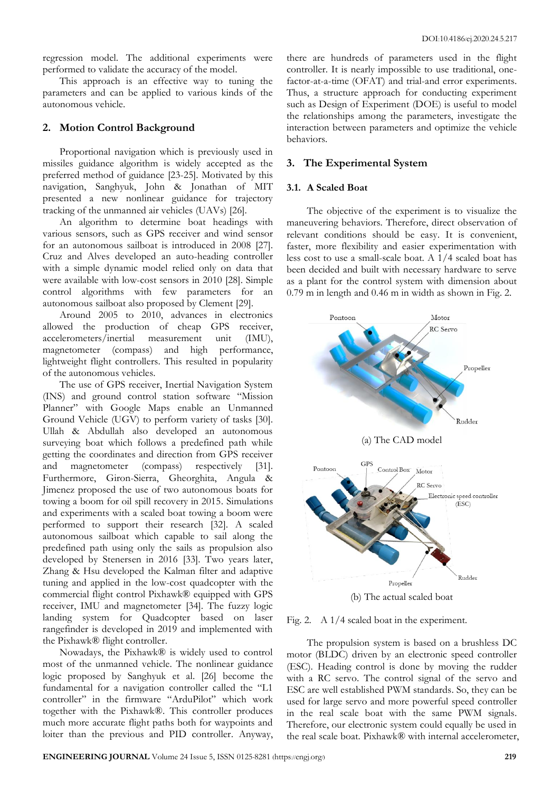regression model. The additional experiments were performed to validate the accuracy of the model.

This approach is an effective way to tuning the parameters and can be applied to various kinds of the autonomous vehicle.

## **2. Motion Control Background**

Proportional navigation which is previously used in missiles guidance algorithm is widely accepted as the preferred method of guidance [23-25]. Motivated by this navigation, Sanghyuk, John & Jonathan of MIT presented a new nonlinear guidance for trajectory tracking of the unmanned air vehicles (UAVs) [26].

An algorithm to determine boat headings with various sensors, such as GPS receiver and wind sensor for an autonomous sailboat is introduced in 2008 [27]. Cruz and Alves developed an auto-heading controller with a simple dynamic model relied only on data that were available with low-cost sensors in 2010 [28]. Simple control algorithms with few parameters for an autonomous sailboat also proposed by Clement [29].

Around 2005 to 2010, advances in electronics allowed the production of cheap GPS receiver, accelerometers/inertial measurement unit (IMU), magnetometer (compass) and high performance, lightweight flight controllers. This resulted in popularity of the autonomous vehicles.

The use of GPS receiver, Inertial Navigation System (INS) and ground control station software "Mission Planner" with Google Maps enable an Unmanned Ground Vehicle (UGV) to perform variety of tasks [30]. Ullah & Abdullah also developed an autonomous surveying boat which follows a predefined path while getting the coordinates and direction from GPS receiver and magnetometer (compass) respectively [31]. Furthermore, Giron-Sierra, Gheorghita, Angula & Jimenez proposed the use of two autonomous boats for towing a boom for oil spill recovery in 2015. Simulations and experiments with a scaled boat towing a boom were performed to support their research [32]. A scaled autonomous sailboat which capable to sail along the predefined path using only the sails as propulsion also developed by Stenersen in 2016 [33]. Two years later, Zhang & Hsu developed the Kalman filter and adaptive tuning and applied in the low-cost quadcopter with the commercial flight control Pixhawk® equipped with GPS receiver, IMU and magnetometer [34]. The fuzzy logic landing system for Quadcopter based on laser rangefinder is developed in 2019 and implemented with the Pixhawk® flight controller.

Nowadays, the Pixhawk® is widely used to control most of the unmanned vehicle. The nonlinear guidance logic proposed by Sanghyuk et al. [26] become the fundamental for a navigation controller called the "L1 controller" in the firmware "ArduPilot" which work together with the Pixhawk®. This controller produces much more accurate flight paths both for waypoints and loiter than the previous and PID controller. Anyway,

there are hundreds of parameters used in the flight controller. It is nearly impossible to use traditional, onefactor-at-a-time (OFAT) and trial-and error experiments. Thus, a structure approach for conducting experiment such as Design of Experiment (DOE) is useful to model the relationships among the parameters, investigate the interaction between parameters and optimize the vehicle behaviors.

#### **3. The Experimental System**

#### **3.1. A Scaled Boat**

The objective of the experiment is to visualize the maneuvering behaviors. Therefore, direct observation of relevant conditions should be easy. It is convenient, faster, more flexibility and easier experimentation with less cost to use a small-scale boat. A 1/4 scaled boat has been decided and built with necessary hardware to serve as a plant for the control system with dimension about 0.79 m in length and 0.46 m in width as shown in Fig. 2.



Fig. 2. A 1/4 scaled boat in the experiment.

The propulsion system is based on a brushless DC motor (BLDC) driven by an electronic speed controller (ESC). Heading control is done by moving the rudder with a RC servo. The control signal of the servo and ESC are well established PWM standards. So, they can be used for large servo and more powerful speed controller in the real scale boat with the same PWM signals. Therefore, our electronic system could equally be used in the real scale boat. Pixhawk® with internal accelerometer,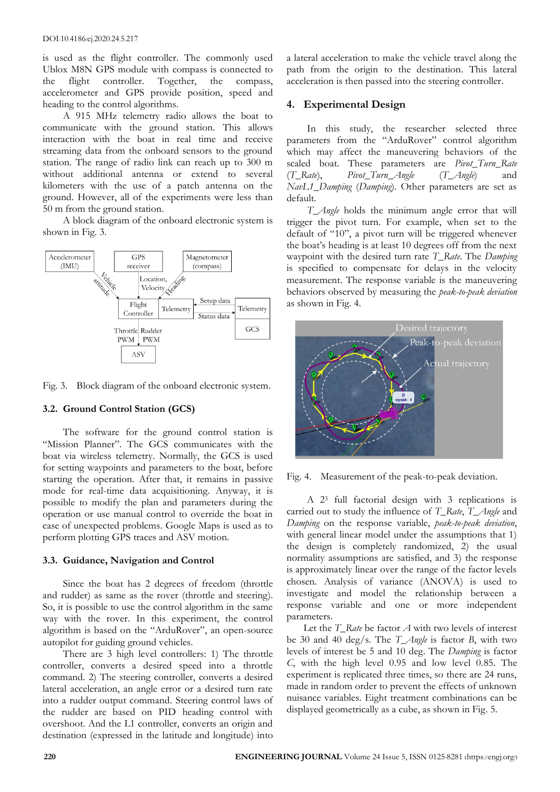is used as the flight controller. The commonly used Ublox M8N GPS module with compass is connected to the flight controller. Together, the compass, accelerometer and GPS provide position, speed and heading to the control algorithms.

A 915 MHz telemetry radio allows the boat to communicate with the ground station. This allows interaction with the boat in real time and receive streaming data from the onboard sensors to the ground station. The range of radio link can reach up to 300 m without additional antenna or extend to several kilometers with the use of a patch antenna on the ground. However, all of the experiments were less than 50 m from the ground station.

A block diagram of the onboard electronic system is shown in Fig. 3.



Fig. 3. Block diagram of the onboard electronic system.

## **3.2. Ground Control Station (GCS)**

The software for the ground control station is "Mission Planner". The GCS communicates with the boat via wireless telemetry. Normally, the GCS is used for setting waypoints and parameters to the boat, before starting the operation. After that, it remains in passive mode for real-time data acquisitioning. Anyway, it is possible to modify the plan and parameters during the operation or use manual control to override the boat in case of unexpected problems. Google Maps is used as to perform plotting GPS traces and ASV motion.

## **3.3. Guidance, Navigation and Control**

Since the boat has 2 degrees of freedom (throttle and rudder) as same as the rover (throttle and steering). So, it is possible to use the control algorithm in the same way with the rover. In this experiment, the control algorithm is based on the "ArduRover", an open-source autopilot for guiding ground vehicles.

There are 3 high level controllers: 1) The throttle controller, converts a desired speed into a throttle command. 2) The steering controller, converts a desired lateral acceleration, an angle error or a desired turn rate into a rudder output command. Steering control laws of the rudder are based on PID heading control with overshoot. And the L1 controller, converts an origin and destination (expressed in the latitude and longitude) into

a lateral acceleration to make the vehicle travel along the path from the origin to the destination. This lateral acceleration is then passed into the steering controller.

# **4. Experimental Design**

In this study, the researcher selected three parameters from the "ArduRover" control algorithm which may affect the maneuvering behaviors of the scaled boat. These parameters are *Pivot\_Turn\_Rate* (*T\_Rate*), *Pivot\_Turn\_Angle* (*T\_Angle*) and *NavL1\_Damping* (*Damping*). Other parameters are set as default.

*T\_Angle* holds the minimum angle error that will trigger the pivot turn. For example, when set to the default of "10", a pivot turn will be triggered whenever the boat's heading is at least 10 degrees off from the next waypoint with the desired turn rate *T\_Rate*. The *Damping* is specified to compensate for delays in the velocity measurement. The response variable is the maneuvering behaviors observed by measuring the *peak-to-peak deviation* as shown in Fig. 4.



Fig. 4. Measurement of the peak-to-peak deviation.

A 2<sup>3</sup> full factorial design with 3 replications is carried out to study the influence of *T\_Rate*, *T\_Angle* and *Damping* on the response variable, *peak-to-peak deviation*, with general linear model under the assumptions that 1) the design is completely randomized, 2) the usual normality assumptions are satisfied, and 3) the response is approximately linear over the range of the factor levels chosen. Analysis of variance (ANOVA) is used to investigate and model the relationship between a response variable and one or more independent parameters.

Let the *T\_Rate* be factor *A* with two levels of interest be 30 and 40 deg/s. The *T\_Angle* is factor *B*, with two levels of interest be 5 and 10 deg. The *Damping* is factor *C*, with the high level 0.95 and low level 0.85. The experiment is replicated three times, so there are 24 runs, made in random order to prevent the effects of unknown nuisance variables. Eight treatment combinations can be displayed geometrically as a cube, as shown in Fig. 5.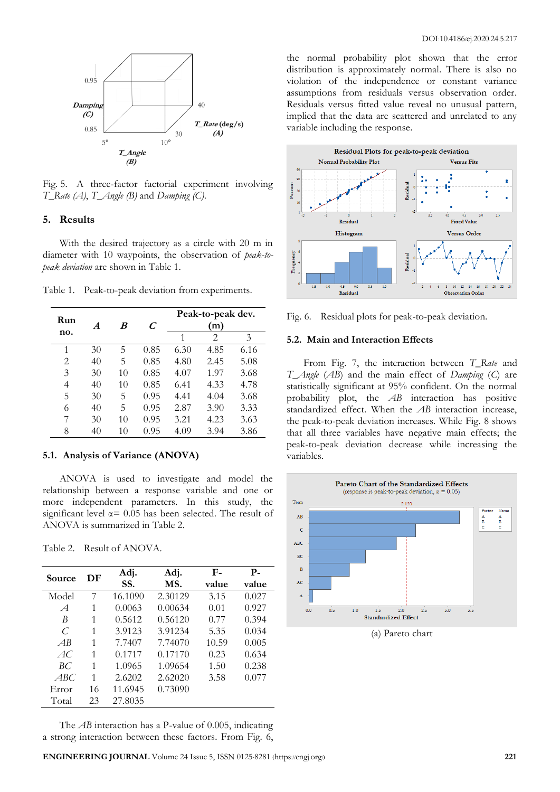

Fig. 5. A three-factor factorial experiment involving *T\_Rate (A)*, *T\_Angle (B)* and *Damping (C)*.

## **5. Results**

With the desired trajectory as a circle with 20 m in diameter with 10 waypoints, the observation of *peak-topeak deviation* are shown in Table 1.

| Run |                  | B  | C    | Peak-to-peak dev. |      |      |
|-----|------------------|----|------|-------------------|------|------|
| no. | $\boldsymbol{A}$ |    |      | (m)               |      |      |
|     |                  |    |      | 1                 | 2    | 3    |
| 1   | 30               | 5  | 0.85 | 6.30              | 4.85 | 6.16 |
| 2   | 40               | 5  | 0.85 | 4.80              | 2.45 | 5.08 |
| 3   | 30               | 10 | 0.85 | 4.07              | 1.97 | 3.68 |
| 4   | 40               | 10 | 0.85 | 6.41              | 4.33 | 4.78 |
| 5   | 30               | 5  | 0.95 | 4.41              | 4.04 | 3.68 |
| 6   | 40               | 5  | 0.95 | 2.87              | 3.90 | 3.33 |
| 7   | 30               | 10 | 0.95 | 3.21              | 4.23 | 3.63 |
| 8   | 40               | 10 | 0.95 | 4.09              | 3.94 | 3.86 |

Table 1. Peak-to-peak deviation from experiments.

#### **5.1. Analysis of Variance (ANOVA)**

ANOVA is used to investigate and model the relationship between a response variable and one or more independent parameters. In this study, the significant level  $\alpha$  = 0.05 has been selected. The result of ANOVA is summarized in Table 2.

Table 2. Result of ANOVA.

| Source        | DF | Adj.<br>SS. | Adj.<br>MS. | $F-$<br>value | $P-$<br>value |
|---------------|----|-------------|-------------|---------------|---------------|
| Model         | 7  | 16.1090     | 2.30129     | 3.15          | 0.027         |
| $\mathcal{A}$ | 1  | 0.0063      | 0.00634     | 0.01          | 0.927         |
| B             | 1  | 0.5612      | 0.56120     | 0.77          | 0.394         |
| $\subset$     | 1  | 3.9123      | 3.91234     | 5.35          | 0.034         |
| AB            | 1  | 7.7407      | 7.74070     | 10.59         | 0.005         |
| AC.           | 1  | 0.1717      | 0.17170     | 0.23          | 0.634         |
| BC            | 1  | 1.0965      | 1.09654     | 1.50          | 0.238         |
| ABC           | 1  | 2.6202      | 2.62020     | 3.58          | 0.077         |
| Error         | 16 | 11.6945     | 0.73090     |               |               |
| Total         | 23 | 27.8035     |             |               |               |

The *AB* interaction has a P-value of 0.005, indicating a strong interaction between these factors. From Fig. 6, the normal probability plot shown that the error distribution is approximately normal. There is also no violation of the independence or constant variance assumptions from residuals versus observation order. Residuals versus fitted value reveal no unusual pattern, implied that the data are scattered and unrelated to any variable including the response.



Fig. 6. Residual plots for peak-to-peak deviation.

#### **5.2. Main and Interaction Effects**

From Fig. 7, the interaction between *T\_Rate* and *T\_Angle* (*AB*) and the main effect of *Damping* (*C*) are statistically significant at 95% confident. On the normal probability plot, the *AB* interaction has positive standardized effect. When the *AB* interaction increase, the peak-to-peak deviation increases. While Fig. 8 shows that all three variables have negative main effects; the peak-to-peak deviation decrease while increasing the variables.



(a) Pareto chart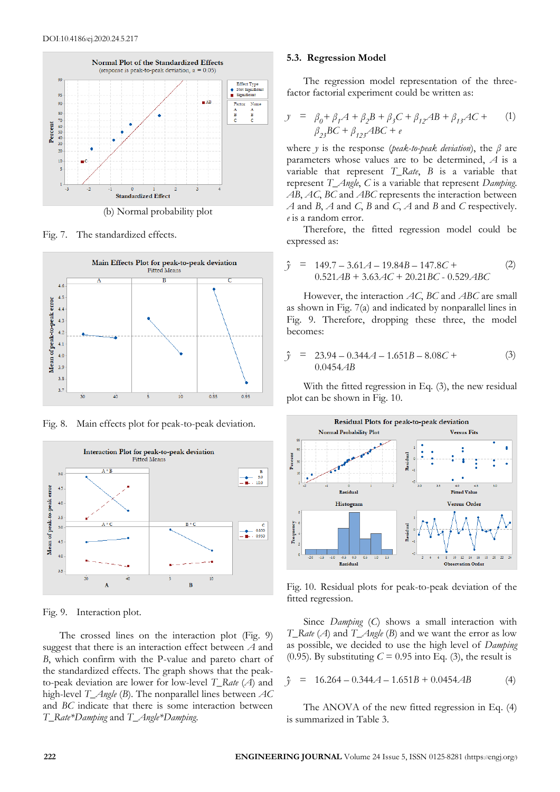

Fig. 7. The standardized effects.



Fig. 8. Main effects plot for peak-to-peak deviation.



Fig. 9. Interaction plot.

The crossed lines on the interaction plot (Fig. 9) suggest that there is an interaction effect between *A* and *B*, which confirm with the P-value and pareto chart of the standardized effects. The graph shows that the peakto-peak deviation are lower for low-level *T\_Rate* (*A*) and high-level *T\_Angle* (*B*). The nonparallel lines between *AC* and *BC* indicate that there is some interaction between *T\_Rate\*Damping* and *T\_Angle\*Damping*.

#### **5.3. Regression Model**

The regression model representation of the threefactor factorial experiment could be written as:

$$
y = \beta_0 + \beta_1 A + \beta_2 B + \beta_3 C + \beta_{12} AB + \beta_{13} AC +
$$
  
\n
$$
\beta_{23} BC + \beta_{123} ABC + e
$$
 (1)

where *y* is the response (*peak-to-peak deviation*), the *β* are parameters whose values are to be determined, *A* is a variable that represent *T\_Rate*, *B* is a variable that represent *T\_Angle*, *C* is a variable that represent *Damping*. *AB*, *AC*, *BC* and *ABC* represents the interaction between *A* and *B*, *A* and *C*, *B* and *C*, *A* and *B* and *C* respectively. *e* is a random error.

Therefore, the fitted regression model could be expressed as:

$$
\hat{y} = 149.7 - 3.61A - 19.84B - 147.8C +
$$
  
0.521AB + 3.63AC + 20.21BC - 0.529ABC

However, the interaction *AC*, *BC* and *ABC* are small as shown in Fig. 7(a) and indicated by nonparallel lines in Fig. 9. Therefore, dropping these three, the model becomes:

$$
\hat{y} = 23.94 - 0.344A - 1.651B - 8.08C + 0.0454AB
$$
\n(3)

With the fitted regression in Eq. (3), the new residual plot can be shown in Fig. 10.



Fig. 10. Residual plots for peak-to-peak deviation of the fitted regression.

Since *Damping* (*C*) shows a small interaction with *T\_Rate* (*A*) and *T\_Angle* (*B*) and we want the error as low as possible, we decided to use the high level of *Damping* (0.95). By substituting  $C = 0.95$  into Eq. (3), the result is

$$
\hat{y} = 16.264 - 0.344A - 1.651B + 0.0454AB
$$
 (4)

The ANOVA of the new fitted regression in Eq. (4) is summarized in Table 3.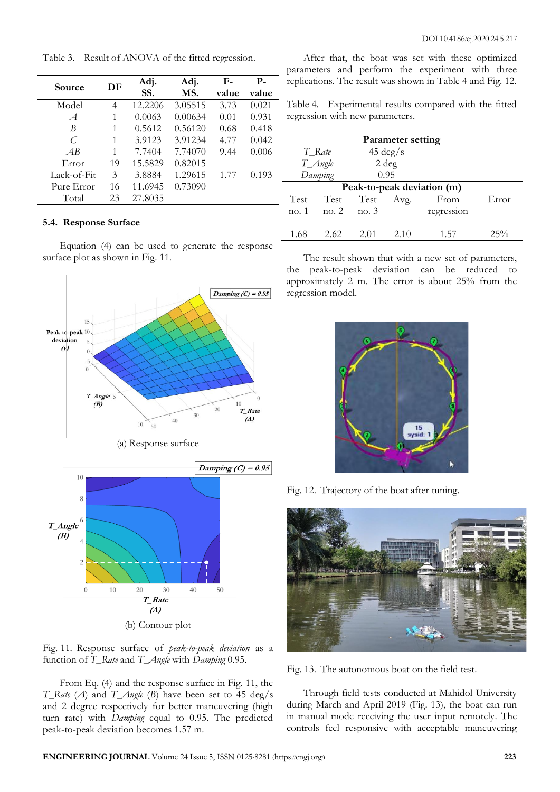**Source DF Adj. SS. Adj. MS. Fvalue Pvalue** Model 4 12.2206 3.05515 3.73 0.021 *A* 1 0.0063 0.00634 0.01 0.931 *B* 1 0.5612 0.56120 0.68 0.418 *C* 1 3.9123 3.91234 4.77 0.042 *AB* 1 7.7404 7.74070 9.44 0.006 Error 19 15.5829 0.82015 Lack-of-Fit 3 3.8884 1.29615 1.77 0.193 Pure Error 16 11.6945 0.73090 Total 23 27.8035

Table 3. Result of ANOVA of the fitted regression.

## **5.4. Response Surface**

Equation (4) can be used to generate the response surface plot as shown in Fig. 11.



Fig. 11. Response surface of *peak-to-peak deviation* as a function of *T\_Rate* and *T\_Angle* with *Damping* 0.95.

From Eq. (4) and the response surface in Fig. 11, the *T\_Rate* (*A*) and *T\_Angle* (*B*) have been set to 45 deg/s and 2 degree respectively for better maneuvering (high turn rate) with *Damping* equal to 0.95. The predicted peak-to-peak deviation becomes 1.57 m.

After that, the boat was set with these optimized parameters and perform the experiment with three replications. The result was shown in Table 4 and Fig. 12.

Table 4. Experimental results compared with the fitted regression with new parameters.

| <b>Parameter setting</b>   |         |                    |      |            |        |  |  |
|----------------------------|---------|--------------------|------|------------|--------|--|--|
| T_Rate                     |         | $45 \text{ deg/s}$ |      |            |        |  |  |
| T_Angle                    |         | $2 \deg$           |      |            |        |  |  |
| Damping                    |         | 0.95               |      |            |        |  |  |
| Peak-to-peak deviation (m) |         |                    |      |            |        |  |  |
| Test                       | Test    | Test               | Avg. | From       | Error  |  |  |
| no. 1                      | no. $2$ | $\sim$ no. 3       |      | regression |        |  |  |
|                            |         |                    |      |            |        |  |  |
| 1.68                       | 2.62    | 2.01               | 2.10 | 1.57       | $25\%$ |  |  |

The result shown that with a new set of parameters, the peak-to-peak deviation can be reduced to approximately 2 m. The error is about 25% from the regression model.



Fig. 12. Trajectory of the boat after tuning.



Fig. 13. The autonomous boat on the field test.

Through field tests conducted at Mahidol University during March and April 2019 (Fig. 13), the boat can run in manual mode receiving the user input remotely. The controls feel responsive with acceptable maneuvering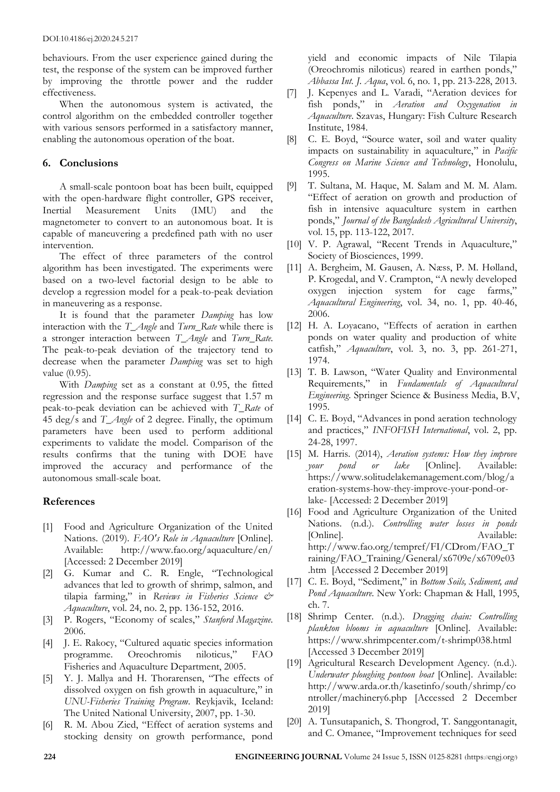behaviours. From the user experience gained during the test, the response of the system can be improved further by improving the throttle power and the rudder effectiveness.

When the autonomous system is activated, the control algorithm on the embedded controller together with various sensors performed in a satisfactory manner, enabling the autonomous operation of the boat.

# **6. Conclusions**

A small-scale pontoon boat has been built, equipped with the open-hardware flight controller, GPS receiver, Inertial Measurement Units (IMU) and the magnetometer to convert to an autonomous boat. It is capable of maneuvering a predefined path with no user intervention.

The effect of three parameters of the control algorithm has been investigated. The experiments were based on a two-level factorial design to be able to develop a regression model for a peak-to-peak deviation in maneuvering as a response.

It is found that the parameter *Damping* has low interaction with the *T\_Angle* and *Turn\_Rate* while there is a stronger interaction between *T\_Angle* and *Turn\_Rate.* The peak-to-peak deviation of the trajectory tend to decrease when the parameter *Damping* was set to high value (0.95).

With *Damping* set as a constant at 0.95, the fitted regression and the response surface suggest that 1.57 m peak-to-peak deviation can be achieved with *T\_Rate* of 45 deg/s and *T\_Angle* of 2 degree. Finally, the optimum parameters have been used to perform additional experiments to validate the model. Comparison of the results confirms that the tuning with DOE have improved the accuracy and performance of the autonomous small-scale boat.

# **References**

- [1] Food and Agriculture Organization of the United Nations. (2019). *FAO's Role in Aquaculture* [Online]. Available: http://www.fao.org/aquaculture/en/ [Accessed: 2 December 2019]
- [2] G. Kumar and C. R. Engle, "Technological advances that led to growth of shrimp, salmon, and tilapia farming," in *Reviews in Fisheries Science & Aquaculture*, vol. 24, no. 2, pp. 136-152, 2016.
- [3] P. Rogers, "Economy of scales," *Stanford Magazine*. 2006.
- [4] J. E. Rakocy, "Cultured aquatic species information programme. Oreochromis niloticus," FAO Fisheries and Aquaculture Department, 2005.
- [5] Y. J. Mallya and H. Thorarensen, "The effects of dissolved oxygen on fish growth in aquaculture," in *UNU-Fisheries Training Program*. Reykjavik, Iceland: The United National University, 2007, pp. 1-30.
- [6] R. M. Abou Zied, "Effect of aeration systems and stocking density on growth performance, pond

yield and economic impacts of Nile Tilapia (Oreochromis niloticus) reared in earthen ponds," *Abbassa Int. J. Aqua*, vol. 6, no. 1, pp. 213-228, 2013.

- [7] J. Kepenyes and L. Varadi, "Aeration devices for fish ponds," in *Aeration and Oxygenation in Aquaculture*. Szavas, Hungary: Fish Culture Research Institute, 1984.
- [8] C. E. Boyd, "Source water, soil and water quality impacts on sustainability in aquaculture," in *Pacific Congress on Marine Science and Technology*, Honolulu, 1995.
- [9] T. Sultana, M. Haque, M. Salam and M. M. Alam. "Effect of aeration on growth and production of fish in intensive aquaculture system in earthen ponds," *Journal of the Bangladesh Agricultural University*, vol. 15, pp. 113-122, 2017.
- [10] V. P. Agrawal, "Recent Trends in Aquaculture," Society of Biosciences, 1999.
- [11] A. Bergheim, M. Gausen, A. Næss, P. M. Hølland, P. Krogedal, and V. Crampton, "A newly developed oxygen injection system for cage farms," *Aquacultural Engineering*, vol. 34, no. 1, pp. 40-46, 2006.
- [12] H. A. Loyacano, "Effects of aeration in earthen ponds on water quality and production of white catfish," *Aquaculture*, vol. 3, no. 3, pp. 261-271, 1974.
- [13] T. B. Lawson, "Water Quality and Environmental Requirements," in *Fundamentals of Aquacultural Engineering*. Springer Science & Business Media, B.V, 1995.
- [14] C. E. Boyd, "Advances in pond aeration technology and practices," *INFOFISH International*, vol. 2, pp. 24-28, 1997.
- [15] M. Harris. (2014), *Aeration systems: How they improve your pond or lake* [Online]. Available: https://www.solitudelakemanagement.com/blog/a eration-systems-how-they-improve-your-pond-orlake- [Accessed: 2 December 2019]
- [16] Food and Agriculture Organization of the United Nations. (n.d.). *Controlling water losses in ponds* [Online]. Available: http://www.fao.org/tempref/FI/CDrom/FAO\_T raining/FAO\_Training/General/x6709e/x6709e03 .htm [Accessed 2 December 2019]
- [17] C. E. Boyd, "Sediment," in *Bottom Soils, Sediment, and Pond Aquaculture*. New York: Chapman & Hall, 1995, ch. 7.
- [18] Shrimp Center. (n.d.). *Dragging chain: Controlling plankton blooms in aquaculture* [Online]. Available: https://www.shrimpcenter.com/t-shrimp038.html [Accessed 3 December 2019]
- [19] Agricultural Research Development Agency. (n.d.). *Underwater ploughing pontoon boat* [Online]. Available: http://www.arda.or.th/kasetinfo/south/shrimp/co ntroller/machinery6.php [Accessed 2 December 2019]
- [20] A. Tunsutapanich, S. Thongrod, T. Sanggontanagit, and C. Omanee, "Improvement techniques for seed